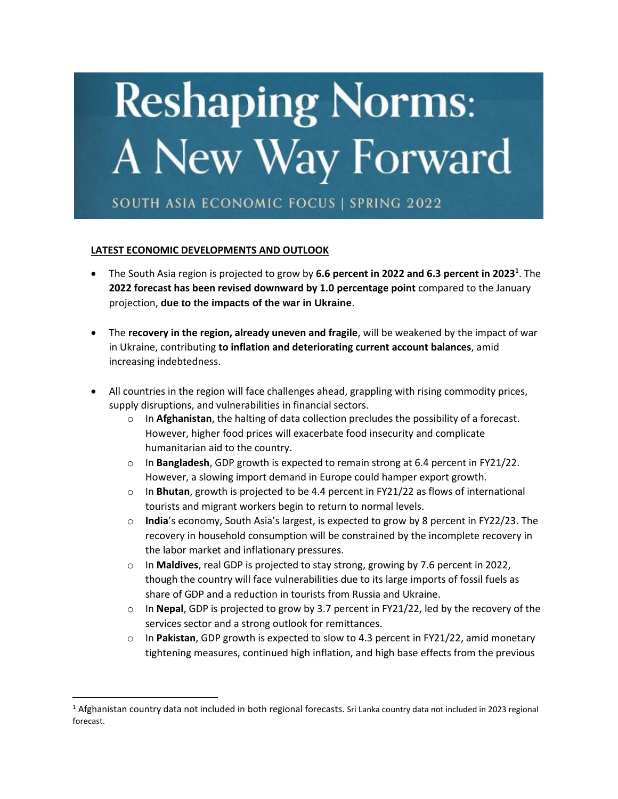

## **LATEST ECONOMIC DEVELOPMENTS AND OUTLOOK**

- The South Asia region is projected to grow by **6.6 percent in 2022 and 6.3 percent in 2023<sup>1</sup>** . The **2022 forecast has been revised downward by 1.0 percentage point** compared to the January projection, **due to the impacts of the war in Ukraine**.
- The **recovery in the region, already uneven and fragile**, will be weakened by the impact of war in Ukraine, contributing **to inflation and deteriorating current account balances**, amid increasing indebtedness.
- All countries in the region will face challenges ahead, grappling with rising commodity prices, supply disruptions, and vulnerabilities in financial sectors.
	- o In **Afghanistan**, the halting of data collection precludes the possibility of a forecast. However, higher food prices will exacerbate food insecurity and complicate humanitarian aid to the country.
	- o In **Bangladesh**, GDP growth is expected to remain strong at 6.4 percent in FY21/22. However, a slowing import demand in Europe could hamper export growth.
	- o In **Bhutan**, growth is projected to be 4.4 percent in FY21/22 as flows of international tourists and migrant workers begin to return to normal levels.
	- o **India**'s economy, South Asia's largest, is expected to grow by 8 percent in FY22/23. The recovery in household consumption will be constrained by the incomplete recovery in the labor market and inflationary pressures.
	- o In **Maldives**, real GDP is projected to stay strong, growing by 7.6 percent in 2022, though the country will face vulnerabilities due to its large imports of fossil fuels as share of GDP and a reduction in tourists from Russia and Ukraine.
	- o In **Nepal**, GDP is projected to grow by 3.7 percent in FY21/22, led by the recovery of the services sector and a strong outlook for remittances.
	- o In **Pakistan**, GDP growth is expected to slow to 4.3 percent in FY21/22, amid monetary tightening measures, continued high inflation, and high base effects from the previous

<sup>&</sup>lt;sup>1</sup> Afghanistan country data not included in both regional forecasts. Sri Lanka country data not included in 2023 regional forecast.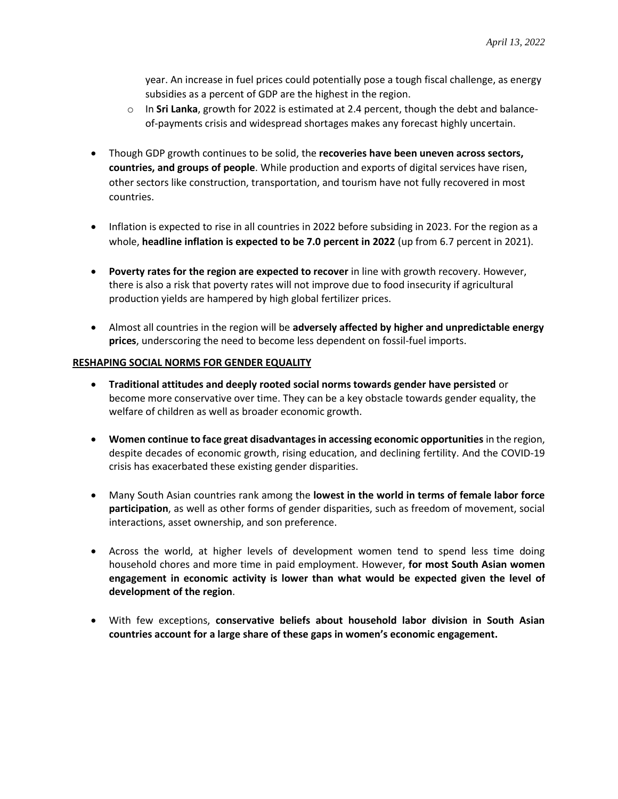year. An increase in fuel prices could potentially pose a tough fiscal challenge, as energy subsidies as a percent of GDP are the highest in the region.

- o In **Sri Lanka**, growth for 2022 is estimated at 2.4 percent, though the debt and balanceof-payments crisis and widespread shortages makes any forecast highly uncertain.
- Though GDP growth continues to be solid, the **recoveries have been uneven across sectors, countries, and groups of people**. While production and exports of digital services have risen, other sectors like construction, transportation, and tourism have not fully recovered in most countries.
- Inflation is expected to rise in all countries in 2022 before subsiding in 2023. For the region as a whole, **headline inflation is expected to be 7.0 percent in 2022** (up from 6.7 percent in 2021).
- **Poverty rates for the region are expected to recover** in line with growth recovery. However, there is also a risk that poverty rates will not improve due to food insecurity if agricultural production yields are hampered by high global fertilizer prices.
- Almost all countries in the region will be **adversely affected by higher and unpredictable energy prices**, underscoring the need to become less dependent on fossil-fuel imports.

## **RESHAPING SOCIAL NORMS FOR GENDER EQUALITY**

- **Traditional attitudes and deeply rooted social norms towards gender have persisted** or become more conservative over time. They can be a key obstacle towards gender equality, the welfare of children as well as broader economic growth.
- **Women continue to face great disadvantages in accessing economic opportunities** in the region, despite decades of economic growth, rising education, and declining fertility. And the COVID-19 crisis has exacerbated these existing gender disparities.
- Many South Asian countries rank among the **lowest in the world in terms of female labor force participation**, as well as other forms of gender disparities, such as freedom of movement, social interactions, asset ownership, and son preference.
- Across the world, at higher levels of development women tend to spend less time doing household chores and more time in paid employment. However, **for most South Asian women engagement in economic activity is lower than what would be expected given the level of development of the region**.
- With few exceptions, **conservative beliefs about household labor division in South Asian countries account for a large share of these gaps in women's economic engagement.**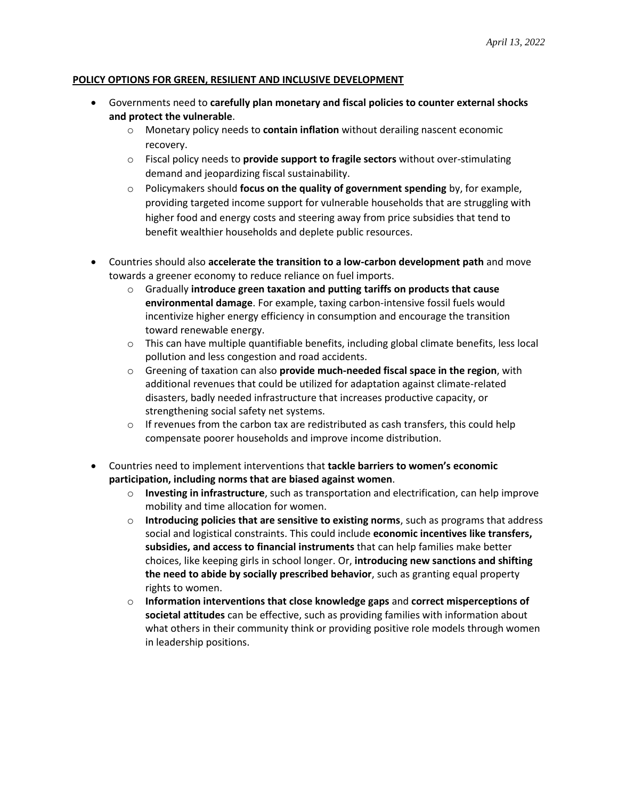## **POLICY OPTIONS FOR GREEN, RESILIENT AND INCLUSIVE DEVELOPMENT**

- Governments need to **carefully plan monetary and fiscal policies to counter external shocks and protect the vulnerable**.
	- o Monetary policy needs to **contain inflation** without derailing nascent economic recovery.
	- o Fiscal policy needs to **provide support to fragile sectors** without over-stimulating demand and jeopardizing fiscal sustainability.
	- o Policymakers should **focus on the quality of government spending** by, for example, providing targeted income support for vulnerable households that are struggling with higher food and energy costs and steering away from price subsidies that tend to benefit wealthier households and deplete public resources.
- Countries should also **accelerate the transition to a low-carbon development path** and move towards a greener economy to reduce reliance on fuel imports.
	- o Gradually **introduce green taxation and putting tariffs on products that cause environmental damage**. For example, taxing carbon-intensive fossil fuels would incentivize higher energy efficiency in consumption and encourage the transition toward renewable energy.
	- $\circ$  This can have multiple quantifiable benefits, including global climate benefits, less local pollution and less congestion and road accidents.
	- o Greening of taxation can also **provide much-needed fiscal space in the region**, with additional revenues that could be utilized for adaptation against climate-related disasters, badly needed infrastructure that increases productive capacity, or strengthening social safety net systems.
	- $\circ$  If revenues from the carbon tax are redistributed as cash transfers, this could help compensate poorer households and improve income distribution.
- Countries need to implement interventions that **tackle barriers to women's economic participation, including norms that are biased against women**.
	- o **Investing in infrastructure**, such as transportation and electrification, can help improve mobility and time allocation for women.
	- o **Introducing policies that are sensitive to existing norms**, such as programs that address social and logistical constraints. This could include **economic incentives like transfers, subsidies, and access to financial instruments** that can help families make better choices, like keeping girls in school longer. Or, **introducing new sanctions and shifting the need to abide by socially prescribed behavior**, such as granting equal property rights to women.
	- o **Information interventions that close knowledge gaps** and **correct misperceptions of societal attitudes** can be effective, such as providing families with information about what others in their community think or providing positive role models through women in leadership positions.